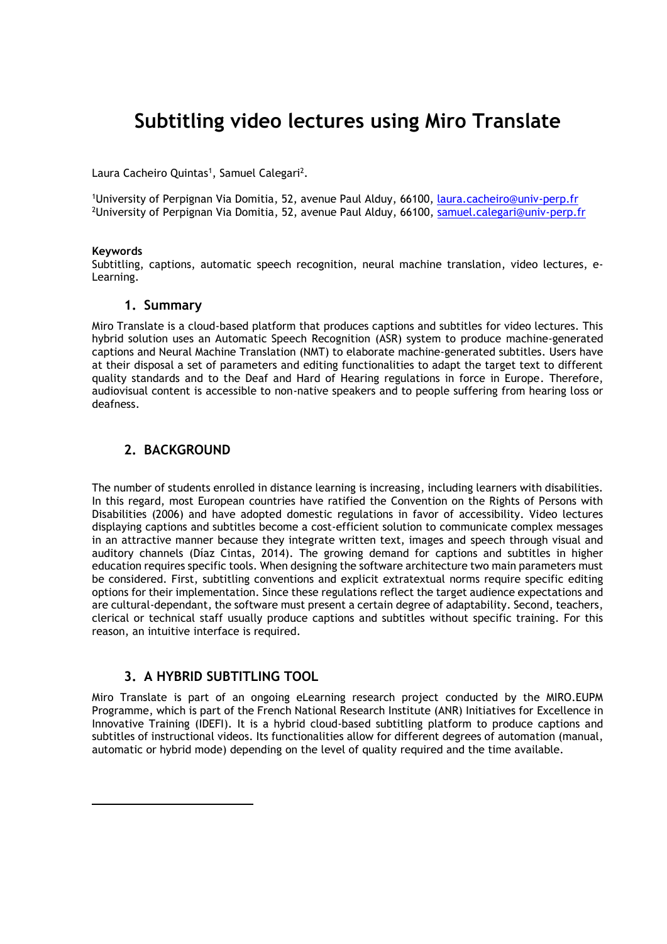# **Subtitling video lectures using Miro Translate**

Laura Cacheiro Quintas<sup>1</sup>, Samuel Calegari<sup>2</sup>.

1University of Perpignan Via Domitia, 52, avenue Paul Alduy, 66100, [laura.cacheiro@univ-perp.fr](mailto:laura.cacheiro@univ-perp.fr) <sup>2</sup>University of Perpignan Via Domitia, 52, avenue Paul Alduy, 66100, [samuel.calegari@univ-perp.fr](mailto:samuel.calegari@univ-perp.fr)

#### **Keywords**

 $\overline{a}$ 

Subtitling, captions, automatic speech recognition, neural machine translation, video lectures, e-Learning.

#### **1. Summary**

Miro Translate is a cloud-based platform that produces captions and subtitles for video lectures. This hybrid solution uses an Automatic Speech Recognition (ASR) system to produce machine-generated captions and Neural Machine Translation (NMT) to elaborate machine-generated subtitles. Users have at their disposal a set of parameters and editing functionalities to adapt the target text to different quality standards and to the Deaf and Hard of Hearing regulations in force in Europe. Therefore, audiovisual content is accessible to non-native speakers and to people suffering from hearing loss or deafness.

## **2. BACKGROUND**

The number of students enrolled in distance learning is increasing, including learners with disabilities. In this regard, most European countries have ratified the Convention on the Rights of Persons with Disabilities (2006) and have adopted domestic regulations in favor of accessibility. Video lectures displaying captions and subtitles become a cost-efficient solution to communicate complex messages in an attractive manner because they integrate written text, images and speech through visual and auditory channels (Díaz Cintas, 2014). The growing demand for captions and subtitles in higher education requires specific tools. When designing the software architecture two main parameters must be considered. First, subtitling conventions and explicit extratextual norms require specific editing options for their implementation. Since these regulations reflect the target audience expectations and are cultural-dependant, the software must present a certain degree of adaptability. Second, teachers, clerical or technical staff usually produce captions and subtitles without specific training. For this reason, an intuitive interface is required.

## **3. A HYBRID SUBTITLING TOOL**

Miro Translate is part of an ongoing eLearning research project conducted by the MIRO.EUPM Programme, which is part of the French National Research Institute (ANR) Initiatives for Excellence in Innovative Training (IDEFI). It is a hybrid cloud-based subtitling platform to produce captions and subtitles of instructional videos. Its functionalities allow for different degrees of automation (manual, automatic or hybrid mode) depending on the level of quality required and the time available.